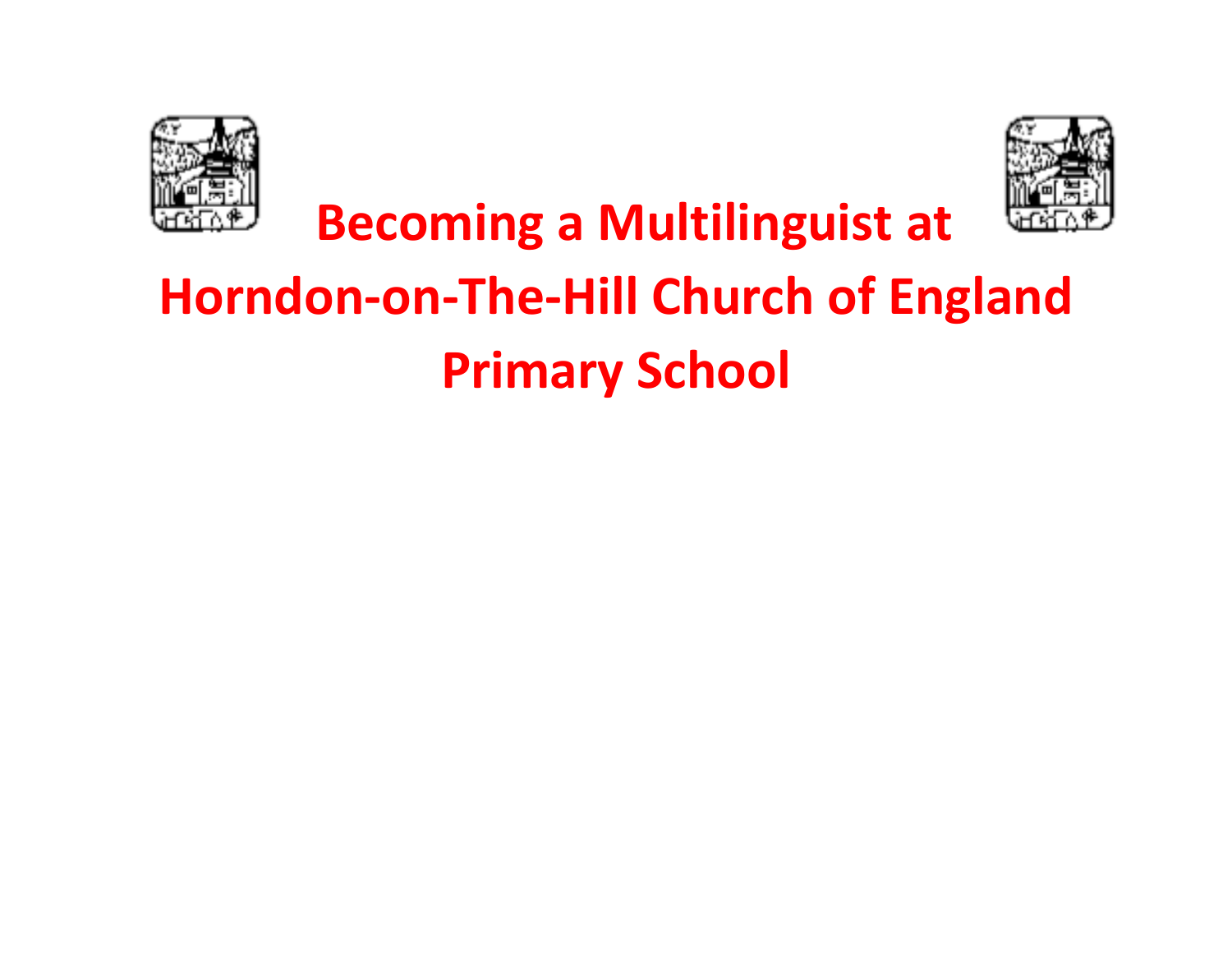



## **Becoming a Multilinguist at Horndon-on-The-Hill Church of England Primary School**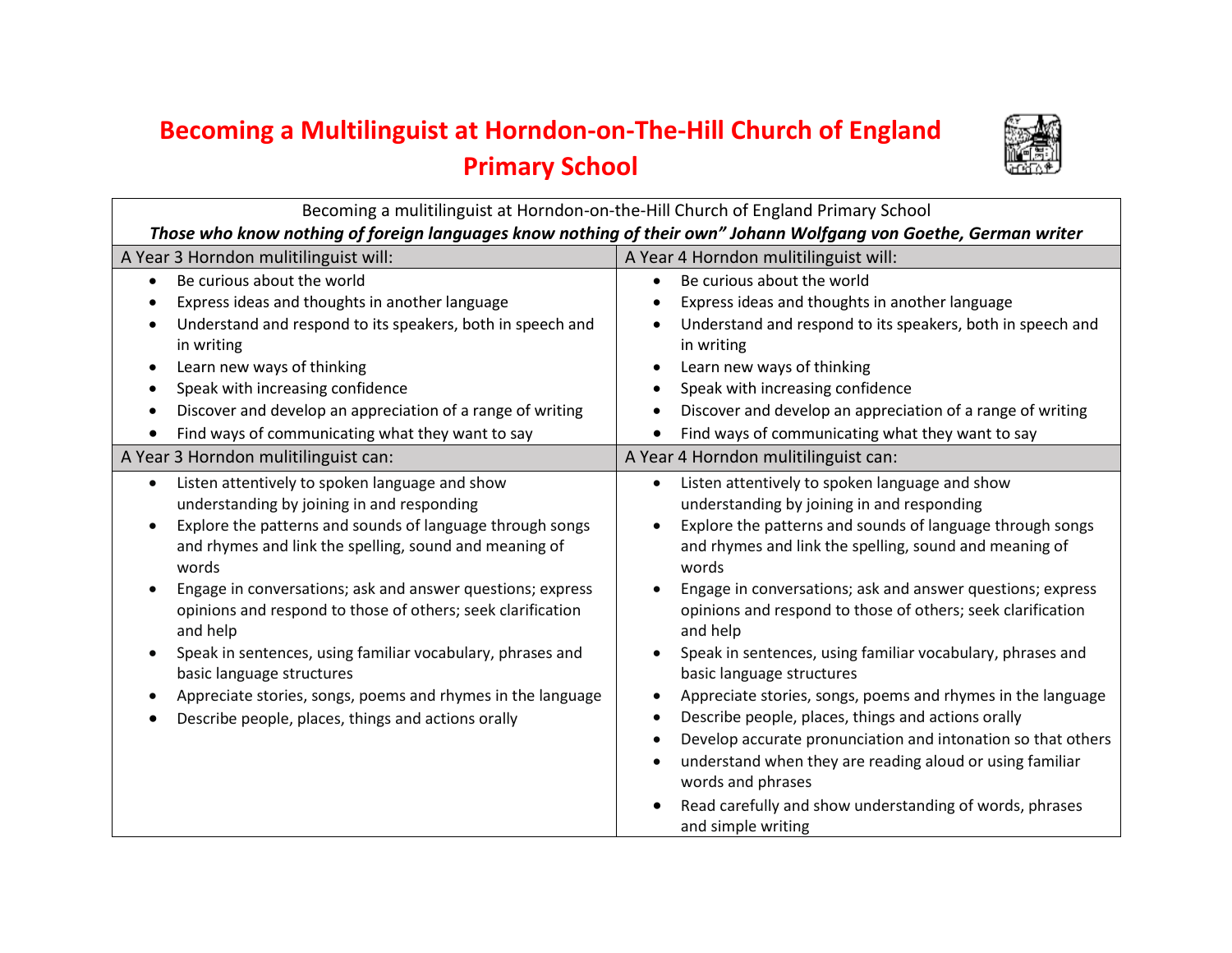## **Becoming a Multilinguist at Horndon-on-The-Hill Church of England Primary School**



| Becoming a mulitilinguist at Horndon-on-the-Hill Church of England Primary School                                                                                                                                                                                                                                                                                                                                                                                                                                                                                                                               |                                                                                                                                                                                                                                                                                                                                                                                                                                                                                                                                                                                                                                                                                                                                                                                                                                                                                          |
|-----------------------------------------------------------------------------------------------------------------------------------------------------------------------------------------------------------------------------------------------------------------------------------------------------------------------------------------------------------------------------------------------------------------------------------------------------------------------------------------------------------------------------------------------------------------------------------------------------------------|------------------------------------------------------------------------------------------------------------------------------------------------------------------------------------------------------------------------------------------------------------------------------------------------------------------------------------------------------------------------------------------------------------------------------------------------------------------------------------------------------------------------------------------------------------------------------------------------------------------------------------------------------------------------------------------------------------------------------------------------------------------------------------------------------------------------------------------------------------------------------------------|
| Those who know nothing of foreign languages know nothing of their own" Johann Wolfgang von Goethe, German writer                                                                                                                                                                                                                                                                                                                                                                                                                                                                                                |                                                                                                                                                                                                                                                                                                                                                                                                                                                                                                                                                                                                                                                                                                                                                                                                                                                                                          |
| A Year 3 Horndon mulitilinguist will:                                                                                                                                                                                                                                                                                                                                                                                                                                                                                                                                                                           | A Year 4 Horndon mulitilinguist will:                                                                                                                                                                                                                                                                                                                                                                                                                                                                                                                                                                                                                                                                                                                                                                                                                                                    |
| Be curious about the world                                                                                                                                                                                                                                                                                                                                                                                                                                                                                                                                                                                      | Be curious about the world<br>$\bullet$                                                                                                                                                                                                                                                                                                                                                                                                                                                                                                                                                                                                                                                                                                                                                                                                                                                  |
| Express ideas and thoughts in another language                                                                                                                                                                                                                                                                                                                                                                                                                                                                                                                                                                  | Express ideas and thoughts in another language                                                                                                                                                                                                                                                                                                                                                                                                                                                                                                                                                                                                                                                                                                                                                                                                                                           |
| Understand and respond to its speakers, both in speech and<br>in writing                                                                                                                                                                                                                                                                                                                                                                                                                                                                                                                                        | Understand and respond to its speakers, both in speech and<br>in writing                                                                                                                                                                                                                                                                                                                                                                                                                                                                                                                                                                                                                                                                                                                                                                                                                 |
| Learn new ways of thinking<br>$\bullet$                                                                                                                                                                                                                                                                                                                                                                                                                                                                                                                                                                         | Learn new ways of thinking<br>$\bullet$                                                                                                                                                                                                                                                                                                                                                                                                                                                                                                                                                                                                                                                                                                                                                                                                                                                  |
| Speak with increasing confidence                                                                                                                                                                                                                                                                                                                                                                                                                                                                                                                                                                                | Speak with increasing confidence                                                                                                                                                                                                                                                                                                                                                                                                                                                                                                                                                                                                                                                                                                                                                                                                                                                         |
| Discover and develop an appreciation of a range of writing                                                                                                                                                                                                                                                                                                                                                                                                                                                                                                                                                      | Discover and develop an appreciation of a range of writing<br>$\bullet$                                                                                                                                                                                                                                                                                                                                                                                                                                                                                                                                                                                                                                                                                                                                                                                                                  |
| Find ways of communicating what they want to say                                                                                                                                                                                                                                                                                                                                                                                                                                                                                                                                                                | Find ways of communicating what they want to say                                                                                                                                                                                                                                                                                                                                                                                                                                                                                                                                                                                                                                                                                                                                                                                                                                         |
| A Year 3 Horndon mulitilinguist can:                                                                                                                                                                                                                                                                                                                                                                                                                                                                                                                                                                            | A Year 4 Horndon mulitilinguist can:                                                                                                                                                                                                                                                                                                                                                                                                                                                                                                                                                                                                                                                                                                                                                                                                                                                     |
| Listen attentively to spoken language and show<br>$\bullet$<br>understanding by joining in and responding<br>Explore the patterns and sounds of language through songs<br>and rhymes and link the spelling, sound and meaning of<br>words<br>Engage in conversations; ask and answer questions; express<br>opinions and respond to those of others; seek clarification<br>and help<br>Speak in sentences, using familiar vocabulary, phrases and<br>$\bullet$<br>basic language structures<br>Appreciate stories, songs, poems and rhymes in the language<br>Describe people, places, things and actions orally | Listen attentively to spoken language and show<br>$\bullet$<br>understanding by joining in and responding<br>Explore the patterns and sounds of language through songs<br>and rhymes and link the spelling, sound and meaning of<br>words<br>Engage in conversations; ask and answer questions; express<br>opinions and respond to those of others; seek clarification<br>and help<br>Speak in sentences, using familiar vocabulary, phrases and<br>$\bullet$<br>basic language structures<br>Appreciate stories, songs, poems and rhymes in the language<br>$\bullet$<br>Describe people, places, things and actions orally<br>$\bullet$<br>Develop accurate pronunciation and intonation so that others<br>$\bullet$<br>understand when they are reading aloud or using familiar<br>words and phrases<br>Read carefully and show understanding of words, phrases<br>and simple writing |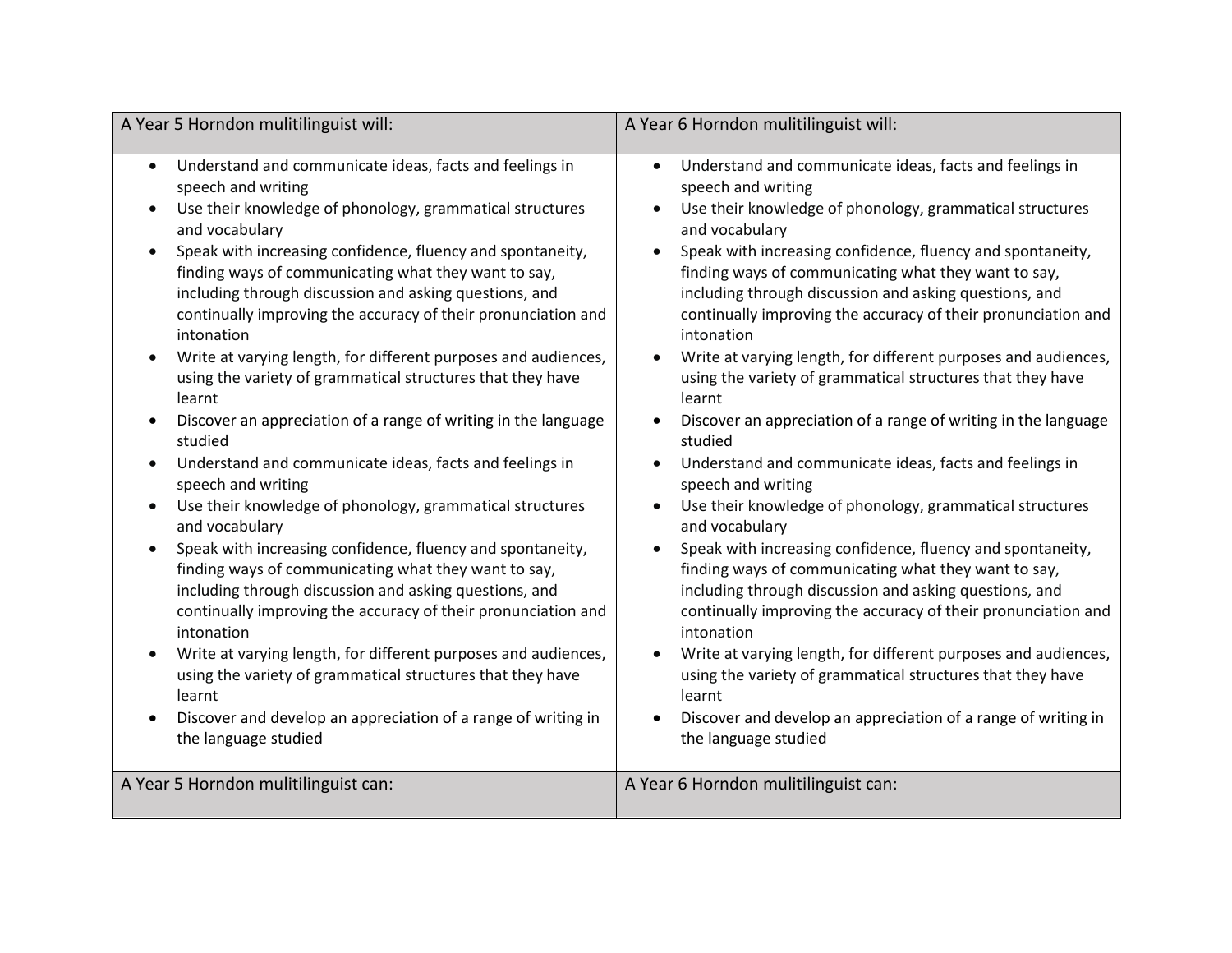| A Year 5 Horndon mulitilinguist will:                                                                                                                                                                                                                                                                                                                                                                                                                                                                                                                                                                                                                                                                                                                                                                                                                                                                                                                                                                                                                                                                                                                                                                                                                                                                                           | A Year 6 Horndon mulitilinguist will:                                                                                                                                                                                                                                                                                                                                                                                                                                                                                                                                                                                                                                                                                                                                                                                                                                                                                                                                                                                                                                                                                                                                                                                                                                                                                                                                                                         |
|---------------------------------------------------------------------------------------------------------------------------------------------------------------------------------------------------------------------------------------------------------------------------------------------------------------------------------------------------------------------------------------------------------------------------------------------------------------------------------------------------------------------------------------------------------------------------------------------------------------------------------------------------------------------------------------------------------------------------------------------------------------------------------------------------------------------------------------------------------------------------------------------------------------------------------------------------------------------------------------------------------------------------------------------------------------------------------------------------------------------------------------------------------------------------------------------------------------------------------------------------------------------------------------------------------------------------------|---------------------------------------------------------------------------------------------------------------------------------------------------------------------------------------------------------------------------------------------------------------------------------------------------------------------------------------------------------------------------------------------------------------------------------------------------------------------------------------------------------------------------------------------------------------------------------------------------------------------------------------------------------------------------------------------------------------------------------------------------------------------------------------------------------------------------------------------------------------------------------------------------------------------------------------------------------------------------------------------------------------------------------------------------------------------------------------------------------------------------------------------------------------------------------------------------------------------------------------------------------------------------------------------------------------------------------------------------------------------------------------------------------------|
| Understand and communicate ideas, facts and feelings in<br>$\bullet$<br>speech and writing<br>Use their knowledge of phonology, grammatical structures<br>and vocabulary<br>Speak with increasing confidence, fluency and spontaneity,<br>finding ways of communicating what they want to say,<br>including through discussion and asking questions, and<br>continually improving the accuracy of their pronunciation and<br>intonation<br>Write at varying length, for different purposes and audiences,<br>using the variety of grammatical structures that they have<br>learnt<br>Discover an appreciation of a range of writing in the language<br>studied<br>Understand and communicate ideas, facts and feelings in<br>speech and writing<br>Use their knowledge of phonology, grammatical structures<br>and vocabulary<br>Speak with increasing confidence, fluency and spontaneity,<br>finding ways of communicating what they want to say,<br>including through discussion and asking questions, and<br>continually improving the accuracy of their pronunciation and<br>intonation<br>Write at varying length, for different purposes and audiences,<br>using the variety of grammatical structures that they have<br>learnt<br>Discover and develop an appreciation of a range of writing in<br>the language studied | Understand and communicate ideas, facts and feelings in<br>$\bullet$<br>speech and writing<br>Use their knowledge of phonology, grammatical structures<br>$\bullet$<br>and vocabulary<br>Speak with increasing confidence, fluency and spontaneity,<br>$\bullet$<br>finding ways of communicating what they want to say,<br>including through discussion and asking questions, and<br>continually improving the accuracy of their pronunciation and<br>intonation<br>Write at varying length, for different purposes and audiences,<br>using the variety of grammatical structures that they have<br>learnt<br>Discover an appreciation of a range of writing in the language<br>studied<br>Understand and communicate ideas, facts and feelings in<br>$\bullet$<br>speech and writing<br>Use their knowledge of phonology, grammatical structures<br>$\bullet$<br>and vocabulary<br>Speak with increasing confidence, fluency and spontaneity,<br>$\bullet$<br>finding ways of communicating what they want to say,<br>including through discussion and asking questions, and<br>continually improving the accuracy of their pronunciation and<br>intonation<br>Write at varying length, for different purposes and audiences,<br>$\bullet$<br>using the variety of grammatical structures that they have<br>learnt<br>Discover and develop an appreciation of a range of writing in<br>the language studied |
| A Year 5 Horndon mulitilinguist can:                                                                                                                                                                                                                                                                                                                                                                                                                                                                                                                                                                                                                                                                                                                                                                                                                                                                                                                                                                                                                                                                                                                                                                                                                                                                                            | A Year 6 Horndon mulitilinguist can:                                                                                                                                                                                                                                                                                                                                                                                                                                                                                                                                                                                                                                                                                                                                                                                                                                                                                                                                                                                                                                                                                                                                                                                                                                                                                                                                                                          |